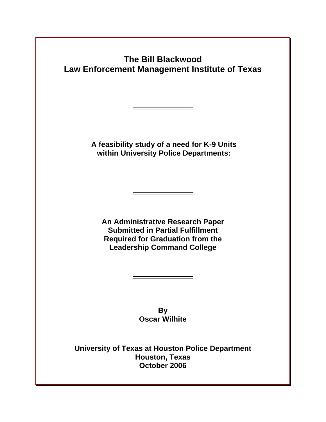**The Bill Blackwood Law Enforcement Management Institute of Texas** 

> **A feasibility study of a need for K-9 Units within University Police Departments:**

**\_\_\_\_\_\_\_\_\_\_\_\_\_\_\_\_\_**

**An Administrative Research Paper Submitted in Partial Fulfillment Required for Graduation from the Leadership Command College**

**\_\_\_\_\_\_\_\_\_\_\_\_\_\_\_\_\_**

**By Oscar Wilhite**

**\_\_\_\_\_\_\_\_\_\_\_\_\_\_\_\_\_**

**University of Texas at Houston Police Department Houston, Texas October 2006**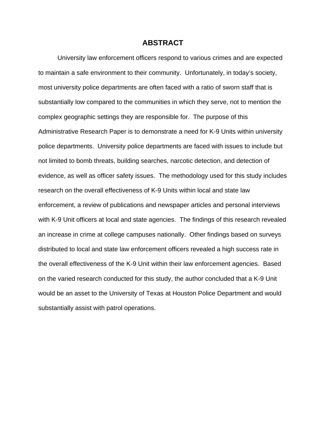#### **ABSTRACT**

University law enforcement officers respond to various crimes and are expected to maintain a safe environment to their community. Unfortunately, in today's society, most university police departments are often faced with a ratio of sworn staff that is substantially low compared to the communities in which they serve, not to mention the complex geographic settings they are responsible for. The purpose of this Administrative Research Paper is to demonstrate a need for K-9 Units within university police departments. University police departments are faced with issues to include but not limited to bomb threats, building searches, narcotic detection, and detection of evidence, as well as officer safety issues. The methodology used for this study includes research on the overall effectiveness of K-9 Units within local and state law enforcement, a review of publications and newspaper articles and personal interviews with K-9 Unit officers at local and state agencies. The findings of this research revealed an increase in crime at college campuses nationally. Other findings based on surveys distributed to local and state law enforcement officers revealed a high success rate in the overall effectiveness of the K-9 Unit within their law enforcement agencies. Based on the varied research conducted for this study, the author concluded that a K-9 Unit would be an asset to the University of Texas at Houston Police Department and would substantially assist with patrol operations.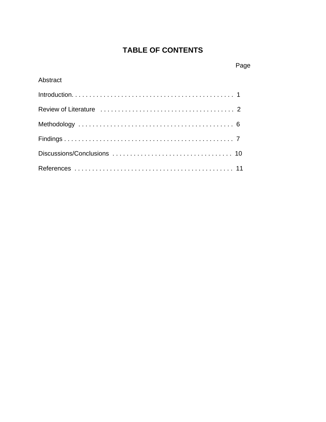# **TABLE OF CONTENTS**

## Page

### Abstract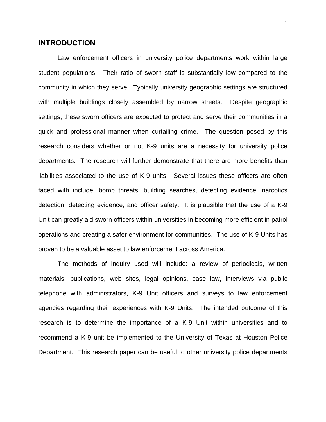#### **INTRODUCTION**

Law enforcement officers in university police departments work within large student populations. Their ratio of sworn staff is substantially low compared to the community in which they serve. Typically university geographic settings are structured with multiple buildings closely assembled by narrow streets. Despite geographic settings, these sworn officers are expected to protect and serve their communities in a quick and professional manner when curtailing crime. The question posed by this research considers whether or not K-9 units are a necessity for university police departments. The research will further demonstrate that there are more benefits than liabilities associated to the use of K-9 units. Several issues these officers are often faced with include: bomb threats, building searches, detecting evidence, narcotics detection, detecting evidence, and officer safety. It is plausible that the use of a K-9 Unit can greatly aid sworn officers within universities in becoming more efficient in patrol operations and creating a safer environment for communities. The use of K-9 Units has proven to be a valuable asset to law enforcement across America.

 The methods of inquiry used will include: a review of periodicals, written materials, publications, web sites, legal opinions, case law, interviews via public telephone with administrators, K-9 Unit officers and surveys to law enforcement agencies regarding their experiences with K-9 Units. The intended outcome of this research is to determine the importance of a K-9 Unit within universities and to recommend a K-9 unit be implemented to the University of Texas at Houston Police Department. This research paper can be useful to other university police departments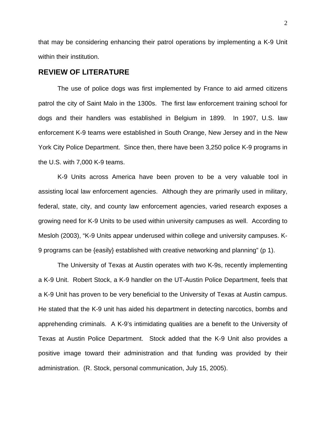that may be considering enhancing their patrol operations by implementing a K-9 Unit within their institution.

#### **REVIEW OF LITERATURE**

The use of police dogs was first implemented by France to aid armed citizens patrol the city of Saint Malo in the 1300s. The first law enforcement training school for dogs and their handlers was established in Belgium in 1899. In 1907, U.S. law enforcement K-9 teams were established in South Orange, New Jersey and in the New York City Police Department. Since then, there have been 3,250 police K-9 programs in the U.S. with 7,000 K-9 teams.

K-9 Units across America have been proven to be a very valuable tool in assisting local law enforcement agencies. Although they are primarily used in military, federal, state, city, and county law enforcement agencies, varied research exposes a growing need for K-9 Units to be used within university campuses as well. According to Mesloh (2003), "K-9 Units appear underused within college and university campuses. K-9 programs can be {easily} established with creative networking and planning" (p 1).

The University of Texas at Austin operates with two K-9s, recently implementing a K-9 Unit. Robert Stock, a K-9 handler on the UT-Austin Police Department, feels that a K-9 Unit has proven to be very beneficial to the University of Texas at Austin campus. He stated that the K-9 unit has aided his department in detecting narcotics, bombs and apprehending criminals. A K-9's intimidating qualities are a benefit to the University of Texas at Austin Police Department. Stock added that the K-9 Unit also provides a positive image toward their administration and that funding was provided by their administration. (R. Stock, personal communication, July 15, 2005).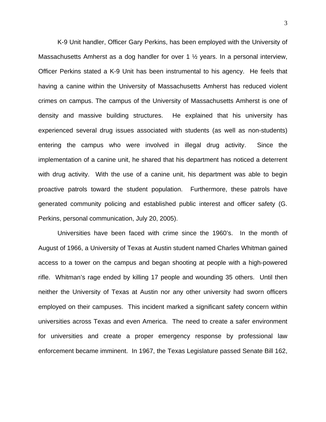K-9 Unit handler, Officer Gary Perkins, has been employed with the University of Massachusetts Amherst as a dog handler for over 1  $\frac{1}{2}$  years. In a personal interview, Officer Perkins stated a K-9 Unit has been instrumental to his agency. He feels that having a canine within the University of Massachusetts Amherst has reduced violent crimes on campus. The campus of the University of Massachusetts Amherst is one of density and massive building structures. He explained that his university has experienced several drug issues associated with students (as well as non-students) entering the campus who were involved in illegal drug activity. Since the implementation of a canine unit, he shared that his department has noticed a deterrent with drug activity. With the use of a canine unit, his department was able to begin proactive patrols toward the student population. Furthermore, these patrols have generated community policing and established public interest and officer safety (G. Perkins, personal communication, July 20, 2005).

Universities have been faced with crime since the 1960's. In the month of August of 1966, a University of Texas at Austin student named Charles Whitman gained access to a tower on the campus and began shooting at people with a high-powered rifle. Whitman's rage ended by killing 17 people and wounding 35 others. Until then neither the University of Texas at Austin nor any other university had sworn officers employed on their campuses. This incident marked a significant safety concern within universities across Texas and even America. The need to create a safer environment for universities and create a proper emergency response by professional law enforcement became imminent. In 1967, the Texas Legislature passed Senate Bill 162,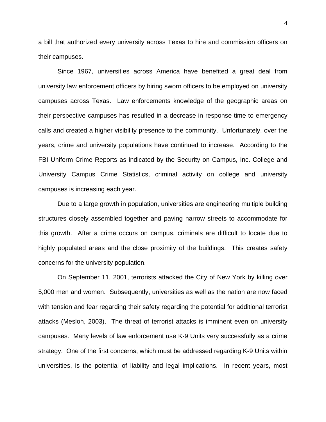a bill that authorized every university across Texas to hire and commission officers on their campuses.

Since 1967, universities across America have benefited a great deal from university law enforcement officers by hiring sworn officers to be employed on university campuses across Texas. Law enforcements knowledge of the geographic areas on their perspective campuses has resulted in a decrease in response time to emergency calls and created a higher visibility presence to the community. Unfortunately, over the years, crime and university populations have continued to increase. According to the FBI Uniform Crime Reports as indicated by the Security on Campus, Inc. College and University Campus Crime Statistics, criminal activity on college and university campuses is increasing each year.

Due to a large growth in population, universities are engineering multiple building structures closely assembled together and paving narrow streets to accommodate for this growth. After a crime occurs on campus, criminals are difficult to locate due to highly populated areas and the close proximity of the buildings. This creates safety concerns for the university population.

On September 11, 2001, terrorists attacked the City of New York by killing over 5,000 men and women. Subsequently, universities as well as the nation are now faced with tension and fear regarding their safety regarding the potential for additional terrorist attacks (Mesloh, 2003). The threat of terrorist attacks is imminent even on university campuses. Many levels of law enforcement use K-9 Units very successfully as a crime strategy. One of the first concerns, which must be addressed regarding K-9 Units within universities, is the potential of liability and legal implications. In recent years, most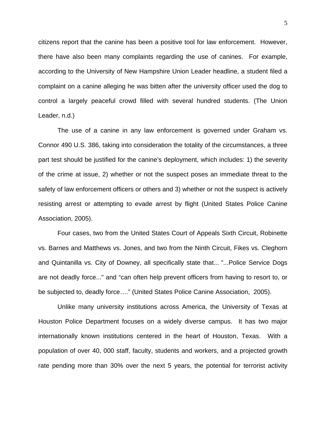citizens report that the canine has been a positive tool for law enforcement. However, there have also been many complaints regarding the use of canines. For example, according to the University of New Hampshire Union Leader headline, a student filed a complaint on a canine alleging he was bitten after the university officer used the dog to control a largely peaceful crowd filled with several hundred students. (The Union Leader, n.d.)

The use of a canine in any law enforcement is governed under Graham vs. Connor 490 U.S. 386, taking into consideration the totality of the circumstances, a three part test should be justified for the canine's deployment, which includes: 1) the severity of the crime at issue, 2) whether or not the suspect poses an immediate threat to the safety of law enforcement officers or others and 3) whether or not the suspect is actively resisting arrest or attempting to evade arrest by flight (United States Police Canine Association, 2005).

Four cases, two from the United States Court of Appeals Sixth Circuit, Robinette vs. Barnes and Matthews vs. Jones, and two from the Ninth Circuit, Fikes vs. Cleghorn and Quintanilla vs. City of Downey, all specifically state that... "...Police Service Dogs are not deadly force..." and "can often help prevent officers from having to resort to, or be subjected to, deadly force…." (United States Police Canine Association, 2005).

Unlike many university institutions across America, the University of Texas at Houston Police Department focuses on a widely diverse campus. It has two major internationally known institutions centered in the heart of Houston, Texas. With a population of over 40, 000 staff, faculty, students and workers, and a projected growth rate pending more than 30% over the next 5 years, the potential for terrorist activity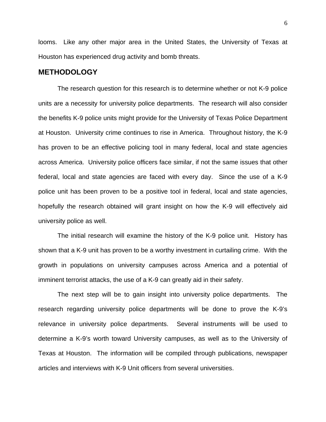looms. Like any other major area in the United States, the University of Texas at Houston has experienced drug activity and bomb threats.

#### **METHODOLOGY**

The research question for this research is to determine whether or not K-9 police units are a necessity for university police departments. The research will also consider the benefits K-9 police units might provide for the University of Texas Police Department at Houston. University crime continues to rise in America. Throughout history, the K-9 has proven to be an effective policing tool in many federal, local and state agencies across America. University police officers face similar, if not the same issues that other federal, local and state agencies are faced with every day. Since the use of a K-9 police unit has been proven to be a positive tool in federal, local and state agencies, hopefully the research obtained will grant insight on how the K-9 will effectively aid university police as well.

The initial research will examine the history of the K-9 police unit. History has shown that a K-9 unit has proven to be a worthy investment in curtailing crime. With the growth in populations on university campuses across America and a potential of imminent terrorist attacks, the use of a K-9 can greatly aid in their safety.

The next step will be to gain insight into university police departments. The research regarding university police departments will be done to prove the K-9's relevance in university police departments. Several instruments will be used to determine a K-9's worth toward University campuses, as well as to the University of Texas at Houston. The information will be compiled through publications, newspaper articles and interviews with K-9 Unit officers from several universities.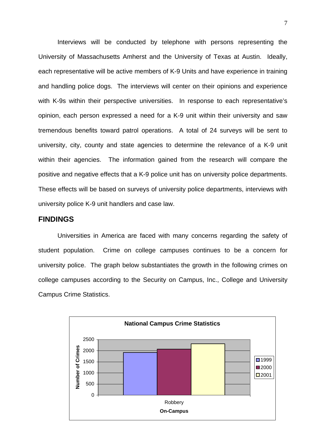Interviews will be conducted by telephone with persons representing the University of Massachusetts Amherst and the University of Texas at Austin. Ideally, each representative will be active members of K-9 Units and have experience in training and handling police dogs. The interviews will center on their opinions and experience with K-9s within their perspective universities. In response to each representative's opinion, each person expressed a need for a K-9 unit within their university and saw tremendous benefits toward patrol operations. A total of 24 surveys will be sent to university, city, county and state agencies to determine the relevance of a K-9 unit within their agencies. The information gained from the research will compare the positive and negative effects that a K-9 police unit has on university police departments. These effects will be based on surveys of university police departments, interviews with university police K-9 unit handlers and case law.

#### **FINDINGS**

Universities in America are faced with many concerns regarding the safety of student population. Crime on college campuses continues to be a concern for university police. The graph below substantiates the growth in the following crimes on college campuses according to the Security on Campus, Inc., College and University Campus Crime Statistics.

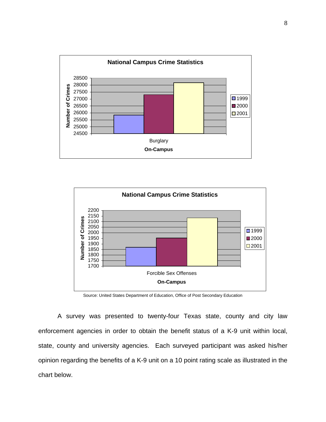



Source: United States Department of Education, Office of Post Secondary Education

A survey was presented to twenty-four Texas state, county and city law enforcement agencies in order to obtain the benefit status of a K-9 unit within local, state, county and university agencies. Each surveyed participant was asked his/her opinion regarding the benefits of a K-9 unit on a 10 point rating scale as illustrated in the chart below.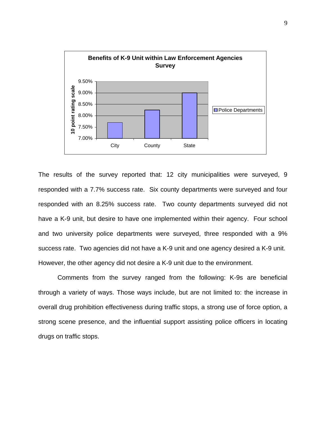

The results of the survey reported that: 12 city municipalities were surveyed, 9 responded with a 7.7% success rate. Six county departments were surveyed and four responded with an 8.25% success rate. Two county departments surveyed did not have a K-9 unit, but desire to have one implemented within their agency. Four school and two university police departments were surveyed, three responded with a 9% success rate. Two agencies did not have a K-9 unit and one agency desired a K-9 unit. However, the other agency did not desire a K-9 unit due to the environment.

through a variety of ways. Those ways include, but are not limited to: the increase in Comments from the survey ranged from the following: K-9s are beneficial overall drug prohibition effectiveness during traffic stops, a strong use of force option, a strong scene presence, and the influential support assisting police officers in locating drugs on traffic stops.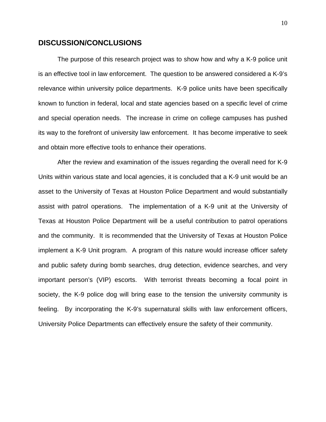#### **DISCUSSION/CONCLUSIONS**

The purpose of this research project was to show how and why a K-9 police unit is an effective tool in law enforcement. The question to be answered considered a K-9's relevance within university police departments. K-9 police units have been specifically known to function in federal, local and state agencies based on a specific level of crime and special operation needs. The increase in crime on college campuses has pushed its way to the forefront of university law enforcement. It has become imperative to seek and obtain more effective tools to enhance their operations.

Units within various state and local agencies, it is concluded that a K-9 unit would be an asset to the Univ ersity of Texas at Houston Police Department and would substantially After the review and examination of the issues regarding the overall need for K-9 assist with patrol operations. The implementation of a K-9 unit at the University of Texas at Houston Police Department will be a useful contribution to patrol operations and the community. It is recommended that the University of Texas at Houston Police implement a K-9 Unit program. A program of this nature would increase officer safety and public safety during bomb searches, drug detection, evidence searches, and very important person's (VIP) escorts. With terrorist threats becoming a focal point in society, the K-9 police dog will bring ease to the tension the university community is feeling. By incorporating the K-9's supernatural skills with law enforcement officers, University Police Departments can effectively ensure the safety of their community.